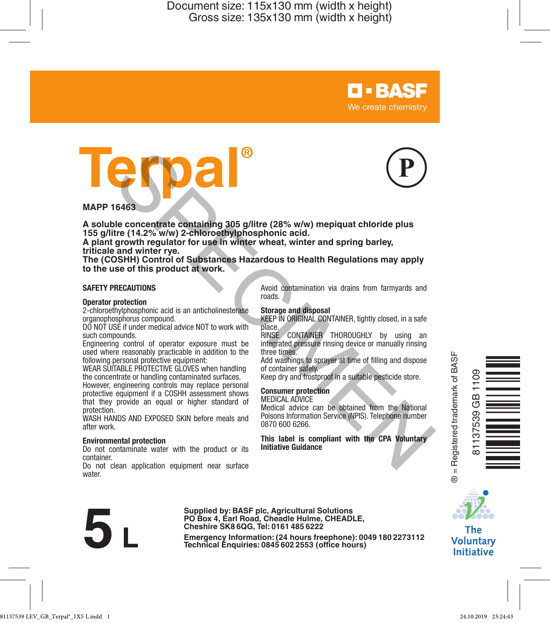



**D-BASF** We create chemistry

**A soluble concentrate containing 305 g/litre (28% w/w) mepiquat chloride plus 155 g/litre (14.2% w/w) 2-chloroethylphosphonic acid.** 

**A plant growth regulator for use in winter wheat, winter and spring barley, triticale and winter rye.**

**The (COSHH) Control of Substances Hazardous to Health Regulations may apply to the use of this product at work.**

#### **SAFETY PRECAUTIONS**

#### **Operator protection**

2-chloroethylphosphonic acid is an anticholinesterase organophosphorus compound.

DO NOT USE if under medical advice NOT to work with such compounds.

Engineering control of operator exposure must be used where reasonably practicable in addition to the following personal protective equipment:

WEAR SUITABLE PROTECTIVE GLOVES when handling the concentrate or handling contaminated surfaces.

However, engineering controls may replace personal protective equipment if a COSHH assessment shows that they provide an equal or higher standard of protection.

WASH HANDS AND EXPOSED SKIN before meals and after work.

#### **Environmental protection**

Do not contaminate water with the product or its container.

Do not clean application equipment near surface water.

Avoid contamination via drains from farmyards and roads.

#### **Storage and disposal**

KEEP IN ORIGINAL CONTAINER, tightly closed, in a safe place.

RINSE CONTAINER THOROUGHLY by using an integrated pressure rinsing device or manually rinsing three times.

Add washings to sprayer at time of filling and dispose of container safely.

Keep dry and frostproof in a suitable pesticide store.

#### **Consumer protection**

MEDICAL ADVICE Medical advice can be obtained from the National Poisons Information Service (NPIS). Telephone number 0870 600 6266.

**This label is compliant with the CPA Voluntary Initiative Guidance**

= Registered trademark of BASF ® = Registered trademark of BASF 81137539 GB 1109  $\frac{1}{2}$ 37539  $\ddot{\mathbf{e}}$ 

Ò<br>Henric Co



**The Voluntary Initiative** 

Supplied by: BASF pic, Agricultural Solutions<br>PO Box 4, Earl Road, Cheadle Hulme, CHEADLE,<br>Cheshire SK8 6QG, Tel: 0161 485 6222<br>Emergency Information: (24 hours freephone): 0049 180 2273112<br>Technical Enquiries: 0845 602 25 **Cheshire SK8 6QG, Tel: 0161 485 6222**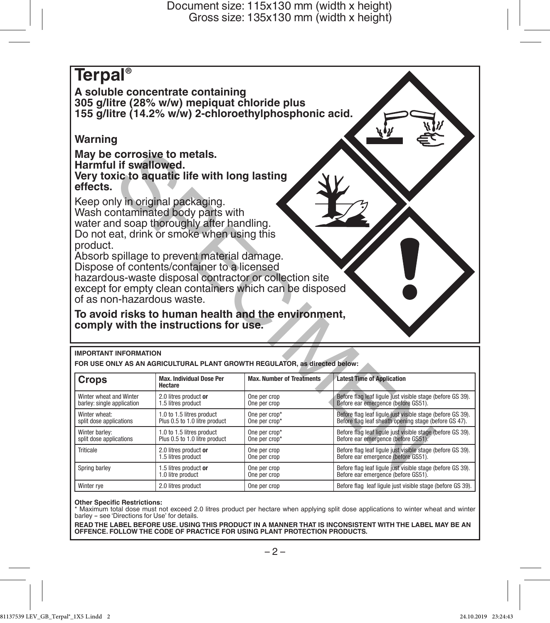

| Crops                                                 | <b>Max. Individual Dose Per</b><br>Hectare  | <b>Max. Number of Treatments</b> | <b>Latest Time of Application</b><br>Before flag leaf liqule just visible stage (before GS 39).<br>Before ear emergence (before GS51). |  |
|-------------------------------------------------------|---------------------------------------------|----------------------------------|----------------------------------------------------------------------------------------------------------------------------------------|--|
| Winter wheat and Winter<br>barley: single application | 2.0 litres product or<br>1.5 litres product | One per crop<br>One per crop     |                                                                                                                                        |  |
| Winter wheat:                                         | 1.0 to 1.5 litres product                   | One per crop*                    | Before flag leaf ligule just visible stage (before GS 39).                                                                             |  |
| split dose applications                               | Plus 0.5 to 1.0 litre product               | One per crop*                    | Before flag leaf sheath opening stage (before GS 47).                                                                                  |  |
| Winter barley:                                        | 1.0 to 1.5 litres product                   | One per crop*                    | Before flag leaf liqule just visible stage (before GS 39).                                                                             |  |
| split dose applications                               | Plus 0.5 to 1.0 litre product               | One per crop*                    | Before ear emergence (before GS51).                                                                                                    |  |
| Triticale                                             | 2.0 litres product or                       | One per crop                     | Before flag leaf ligule just visible stage (before GS 39).                                                                             |  |
|                                                       | 1.5 litres product                          | One per crop                     | Before ear emergence (before GS51).                                                                                                    |  |
| Spring barley                                         | 1.5 litres product or                       | One per crop                     | Before flag leaf liqule just visible stage (before GS 39).                                                                             |  |
|                                                       | 1.0 litre product                           | One per crop                     | Before ear emergence (before GS51).                                                                                                    |  |
| Winter rye                                            | 2.0 litres product                          | One per crop                     | Before flag leaf liqule just visible stage (before GS 39).                                                                             |  |

#### **Other Specific Restrictions:**

\* Maximum total dose must not exceed 2.0 litres product per hectare when applying split dose applications to winter wheat and winter barley - see 'Directions for Use' for details.

**READ THE LABEL BEFORE USE. USING THIS PRODUCT IN A MANNER THAT IS INCONSISTENT WITH THE LABEL MAY BE AN OFFENCE. FOLLOW THE CODE OF PRACTICE FOR USING PLANT PROTECTION PRODUCTS.**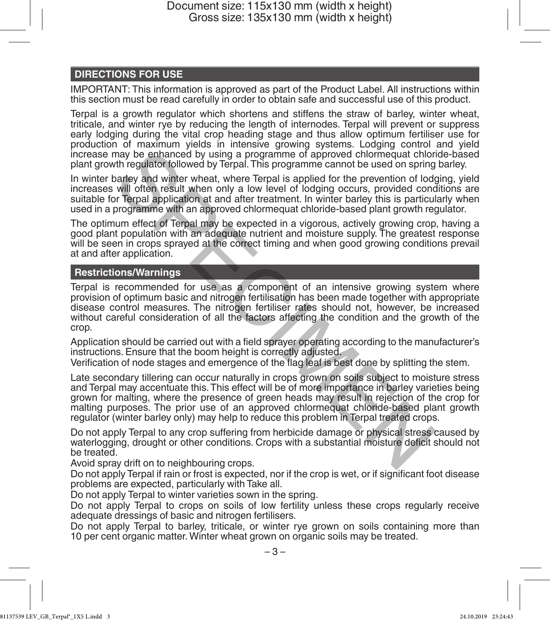# **DIRECTIONS FOR USE**

IMPORTANT: This information is approved as part of the Product Label. All instructions within this section must be read carefully in order to obtain safe and successful use of this product.

Terpal is a growth regulator which shortens and stiffens the straw of barley, winter wheat, triticale, and winter rye by reducing the length of internodes. Terpal will prevent or suppress early lodging during the vital crop heading stage and thus allow optimum fertiliser use for production of maximum yields in intensive growing systems. Lodging control and yield increase may be enhanced by using a programme of approved chlormequat chloride-based plant growth regulator followed by Terpal. This programme cannot be used on spring barley.

In winter barley and winter wheat, where Terpal is applied for the prevention of lodging, yield increases will often result when only a low level of lodging occurs, provided conditions are suitable for Terpal application at and after treatment. In winter barley this is particularly when used in a programme with an approved chlormequat chloride-based plant growth regulator.

The optimum effect of Terpal may be expected in a vigorous, actively growing crop, having a good plant population with an adequate nutrient and moisture supply. The greatest response will be seen in crops sprayed at the correct timing and when good growing conditions prevail at and after application.

## **Restrictions/Warnings**

Terpal is recommended for use as a component of an intensive growing system where provision of optimum basic and nitrogen fertilisation has been made together with appropriate disease control measures. The nitrogen fertiliser rates should not, however, be increased without careful consideration of all the factors affecting the condition and the growth of the crop. may be enhanced by using a programme of approved chlormequat chlorm<br>that regulator followed by UFirgal. This programme cannot be used on spring<br>barley and winter wheat, where Terpal is applied for the prevention of lod<br>wil

Application should be carried out with a field sprayer operating according to the manufacturer's instructions. Ensure that the boom height is correctly adjusted.

Verification of node stages and emergence of the flag leaf is best done by splitting the stem.

Late secondary tillering can occur naturally in crops grown on soils subject to moisture stress and Terpal may accentuate this. This effect will be of more importance in barley varieties being grown for malting, where the presence of green heads may result in rejection of the crop for malting purposes. The prior use of an approved chlormequat chloride-based plant growth regulator (winter barley only) may help to reduce this problem in Terpal treated crops.

Do not apply Terpal to any crop suffering from herbicide damage or physical stress caused by waterlogging, drought or other conditions. Crops with a substantial moisture deficit should not be treated.

Avoid spray drift on to neighbouring crops.

Do not apply Terpal if rain or frost is expected, nor if the crop is wet, or if significant foot disease problems are expected, particularly with Take all.

Do not apply Terpal to winter varieties sown in the spring.

Do not apply Terpal to crops on soils of low fertility unless these crops regularly receive adequate dressings of basic and nitrogen fertilisers.

Do not apply Terpal to barley, triticale, or winter rye grown on soils containing more than 10 per cent organic matter. Winter wheat grown on organic soils may be treated.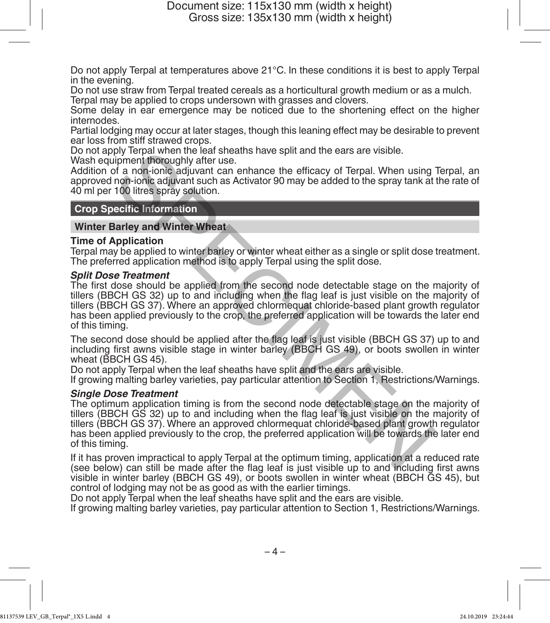Do not apply Terpal at temperatures above 21°C. In these conditions it is best to apply Terpal in the evening.

Do not use straw from Terpal treated cereals as a horticultural growth medium or as a mulch.

Terpal may be applied to crops undersown with grasses and clovers.

Some delay in ear emergence may be noticed due to the shortening effect on the higher internodes.

Partial lodging may occur at later stages, though this leaning effect may be desirable to prevent ear loss from stiff strawed crops.

Do not apply Terpal when the leaf sheaths have split and the ears are visible.

Wash equipment thoroughly after use.

Addition of a non-ionic adjuvant can enhance the efficacy of Terpal. When using Terpal, an approved non-ionic adjuvant such as Activator 90 may be added to the spray tank at the rate of 40 ml per 100 litres spray solution.

# **Crop Specific Information**

### **Winter Barley and Winter Wheat**

#### **Time of Application**

Terpal may be applied to winter barley or winter wheat either as a single or split dose treatment. The preferred application method is to apply Terpal using the split dose.

*Split Dose Treatment* The first dose should be applied from the second node detectable stage on the majority of tillers (BBCH GS 32) up to and including when the flag leaf is just visible on the majority of tillers (BBCH GS 37). Where an approved chlormequat chloride-based plant growth regulator has been applied previously to the crop, the preferred application will be towards the later end of this timing.

The second dose should be applied after the flag leaf is just visible (BBCH GS 37) up to and including first awns visible stage in winter barley (BBCH GS 49), or boots swollen in winter wheat (BBCH GS 45).

Do not apply Terpal when the leaf sheaths have split and the ears are visible.

If growing malting barley varieties, pay particular attention to Section 1, Restrictions/Warnings.

## *Single Dose Treatment*

The optimum application timing is from the second node detectable stage on the majority of tillers (BBCH GS 32) up to and including when the flag leaf is just visible on the majority of tillers (BBCH GS 37). Where an approved chlormequat chloride-based plant growth regulator has been applied previously to the crop, the preferred application will be towards the later end of this timing. ply lergal when the lead sheaths have split and the ears are visible.<br>
Support thoroughly after use.<br>
In a non-ionic adjuvant can enhance the efficacy of Terpal. When using<br>
non-ionic adjuvant such as Activator 90 may be a

If it has proven impractical to apply Terpal at the optimum timing, application at a reduced rate (see below) can still be made after the flag leaf is just visible up to and including first awns visible in winter barley (BBCH GS 49), or boots swollen in winter wheat (BBCH GS 45), but control of lodging may not be as good as with the earlier timings.

Do not apply Terpal when the leaf sheaths have split and the ears are visible.

If growing malting barley varieties, pay particular attention to Section 1, Restrictions/Warnings.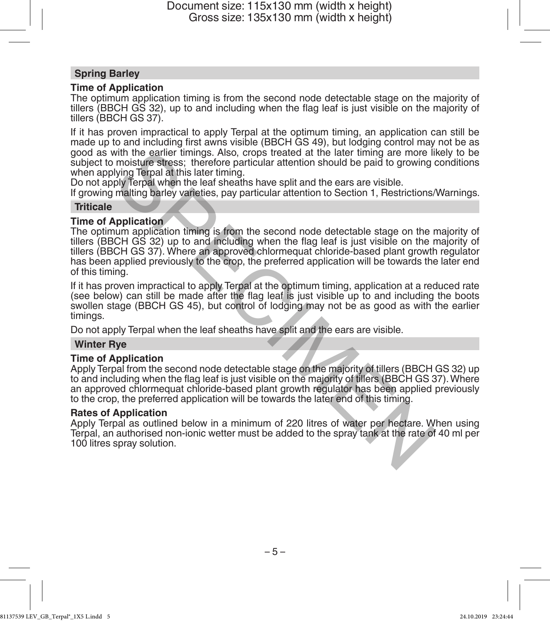## **Spring Barley**

## **Time of Application**

The optimum application timing is from the second node detectable stage on the majority of tillers (BBCH GS 32), up to and including when the flag leaf is just visible on the majority of tillers (BBCH GS 37).

If it has proven impractical to apply Terpal at the optimum timing, an application can still be made up to and including first awns visible (BBCH GS 49), but lodging control may not be as good as with the earlier timings. Also, crops treated at the later timing are more likely to be subject to moisture stress; therefore particular attention should be paid to growing conditions when applying Terpal at this later timing.

Do not apply Terpal when the leaf sheaths have split and the ears are visible.

If growing malting barley varieties, pay particular attention to Section 1, Restrictions/Warnings.

## **Triticale**

## **Time of Application**

The optimum application timing is from the second node detectable stage on the majority of tillers (BBCH GS 32) up to and including when the flag leaf is just visible on the majority of tillers (BBCH GS 37). Where an approved chlormequat chloride-based plant growth regulator has been applied previously to the crop, the preferred application will be towards the later end of this timing. with the earlier timings. Also, crops treated at the later timing are more living moristure stress; therefore particular attention should be paid to growing of whigh derparable this later timing.<br>By terpal when the leaf sh

If it has proven impractical to apply Terpal at the optimum timing, application at a reduced rate (see below) can still be made after the flag leaf is just visible up to and including the boots swollen stage (BBCH GS 45), but control of lodging may not be as good as with the earlier timings.

Do not apply Terpal when the leaf sheaths have split and the ears are visible.

## **Winter Rye**

## **Time of Application**

Apply Terpal from the second node detectable stage on the majority of tillers (BBCH GS 32) up to and including when the flag leaf is just visible on the majority of tillers (BBCH GS 37). Where an approved chlormequat chloride-based plant growth regulator has been applied previously to the crop, the preferred application will be towards the later end of this timing.

#### **Rates of Application**

Apply Terpal as outlined below in a minimum of 220 litres of water per hectare. When using Terpal, an authorised non-ionic wetter must be added to the spray tank at the rate of 40 ml per 100 litres spray solution.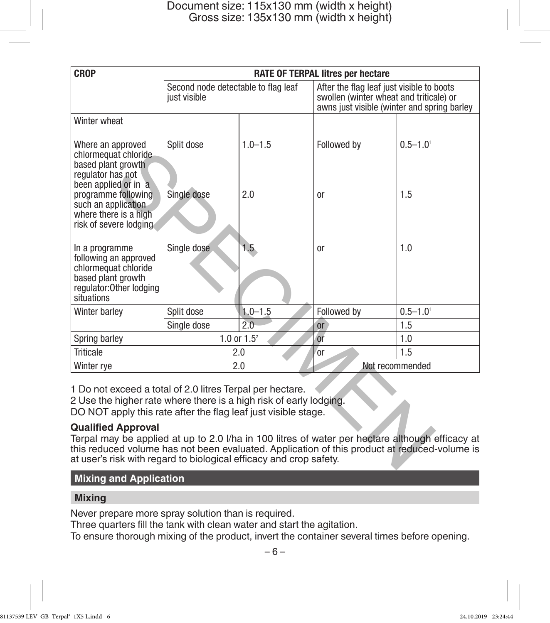| <b>CROP</b>                                                                                                                                                                                                                                                                                                                                                                                                                                                                                             | RATE OF TERPAL litres per hectare                   |                  |                                                                                                                                     |                          |  |
|---------------------------------------------------------------------------------------------------------------------------------------------------------------------------------------------------------------------------------------------------------------------------------------------------------------------------------------------------------------------------------------------------------------------------------------------------------------------------------------------------------|-----------------------------------------------------|------------------|-------------------------------------------------------------------------------------------------------------------------------------|--------------------------|--|
|                                                                                                                                                                                                                                                                                                                                                                                                                                                                                                         | Second node detectable to flag leaf<br>just visible |                  | After the flag leaf just visible to boots<br>swollen (winter wheat and triticale) or<br>awns just visible (winter and spring barley |                          |  |
| Winter wheat                                                                                                                                                                                                                                                                                                                                                                                                                                                                                            |                                                     |                  |                                                                                                                                     |                          |  |
| Where an approved<br>chlormequat chloride<br>based plant growth<br>regulator has not                                                                                                                                                                                                                                                                                                                                                                                                                    | Split dose                                          | $1.0 - 1.5$      | Followed by                                                                                                                         | $0.5 - 1.0$ <sup>1</sup> |  |
| been applied or in a<br>programme following<br>such an application<br>where there is a high<br>risk of severe lodging                                                                                                                                                                                                                                                                                                                                                                                   | Single dose                                         | 2.0              | or                                                                                                                                  | 1.5                      |  |
| In a programme<br>following an approved<br>chlormequat chloride<br>based plant growth<br>regulator: Other lodging<br>situations                                                                                                                                                                                                                                                                                                                                                                         | Single dose                                         | 1.5 <sub>2</sub> | <sub>or</sub>                                                                                                                       | 1.0                      |  |
| Winter barley                                                                                                                                                                                                                                                                                                                                                                                                                                                                                           | Split dose                                          | $1.0 - 1.5$      | Followed by                                                                                                                         | $0.5 - 1.0$              |  |
|                                                                                                                                                                                                                                                                                                                                                                                                                                                                                                         | Single dose                                         | 2.0              | or                                                                                                                                  | 1.5                      |  |
| Spring barley                                                                                                                                                                                                                                                                                                                                                                                                                                                                                           | 1.0 or $1.5^2$                                      |                  | or                                                                                                                                  | 1.0                      |  |
| <b>Triticale</b>                                                                                                                                                                                                                                                                                                                                                                                                                                                                                        | 2.0                                                 |                  | <sub>or</sub>                                                                                                                       | 1.5                      |  |
| Winter rye                                                                                                                                                                                                                                                                                                                                                                                                                                                                                              | 2.0                                                 |                  | Not recommended                                                                                                                     |                          |  |
| 1 Do not exceed a total of 2.0 litres Terpal per hectare.<br>2 Use the higher rate where there is a high risk of early lodging.<br>DO NOT apply this rate after the flag leaf just visible stage.<br><b>Qualified Approval</b><br>Terpal may be applied at up to 2.0 I/ha in 100 litres of water per hectare although efficacy at<br>this reduced volume has not been evaluated. Application of this product at reduced-volume is<br>at user's risk with regard to biological efficacy and crop safety. |                                                     |                  |                                                                                                                                     |                          |  |

# **Qualified Approval**

## **Mixing and Application**

## **Mixing**

Never prepare more spray solution than is required.

Three quarters fill the tank with clean water and start the agitation.

To ensure thorough mixing of the product, invert the container several times before opening.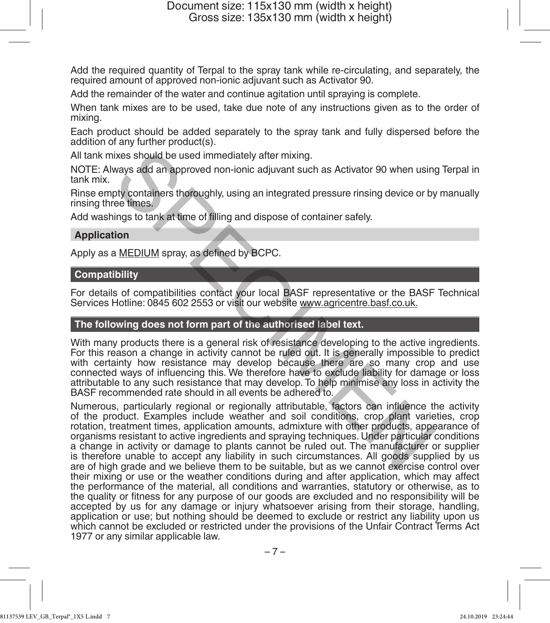Add the required quantity of Terpal to the spray tank while re-circulating, and separately, the required amount of approved non-ionic adjuvant such as Activator 90.

Add the remainder of the water and continue agitation until spraying is complete.

When tank mixes are to be used, take due note of any instructions given as to the order of mixing.

Each product should be added separately to the spray tank and fully dispersed before the addition of any further product(s).

All tank mixes should be used immediately after mixing.

NOTE: Always add an approved non-ionic adjuvant such as Activator 90 when using Terpal in tank mix.

Rinse empty containers thoroughly, using an integrated pressure rinsing device or by manually rinsing three times.

Add washings to tank at time of filling and dispose of container safely.

#### **Application**

Apply as a MEDIUM spray, as defined by BCPC.

### **Compatibility**

For details of compatibilities contact your local BASF representative or the BASF Technical Services Hotline: 0845 602 2553 or visit our website www.agricentre.basf.co.uk.

## **The following does not form part of the authorised label text.**

With many products there is a general risk of resistance developing to the active ingredients. For this reason a change in activity cannot be ruled out. It is generally impossible to predict with certainty how resistance may develop because there are so many crop and use connected ways of influencing this. We therefore have to exclude liability for damage or loss attributable to any such resistance that may develop. To help minimise any loss in activity the BASF recommended rate should in all events be adhered to.

Numerous, particularly regional or regionally attributable, factors can influence the activity of the product. Examples include weather and soil conditions, crop plant varieties, crop rotation, treatment times, application amounts, admixture with other products, appearance of organisms resistant to active ingredients and spraying techniques. Under particular conditions a change in activity or damage to plants cannot be ruled out. The manufacturer or supplier is therefore unable to accept any liability in such circumstances. All goods supplied by us are of high grade and we believe them to be suitable, but as we cannot exercise control over their mixing or use or the weather conditions during and after application, which may affect the performance of the material, all conditions and warranties, statutory or otherwise, as to the quality or fitness for any purpose of our goods are excluded and no responsibility will be accepted by us for any damage or injury whatsoever arising from their storage, handling, application or use; but nothing should be deemed to exclude or restrict any liability upon us which cannot be excluded or restricted under the provisions of the Unfair Contract Terms Act 1977 or any similar applicable law. ixes should be used immediately after mixing.<br>
ways add an approved non-ionic adjuvant such as Activator 90 when using<br>
pty containers thoroughly, using an integrated pressure rinsing device or by<br>
ee times.<br>
The container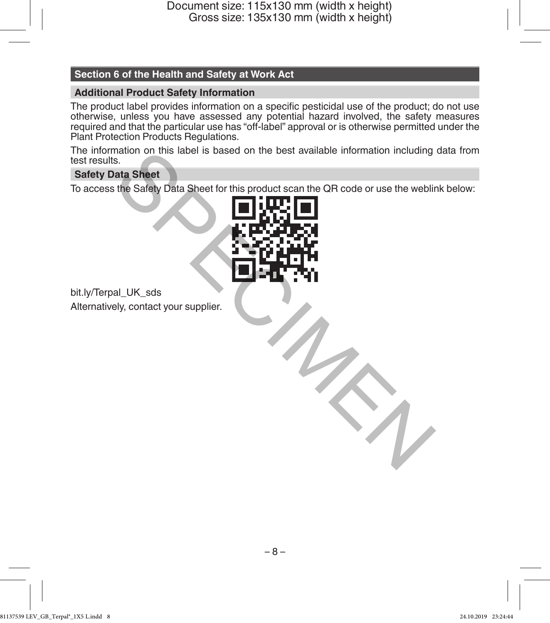# **Section 6 of the Health and Safety at Work Act**

## **Additional Product Safety Information**

The product label provides information on a specific pesticidal use of the product; do not use otherwise, unless you have assessed any potential hazard involved, the safety measures required and that the particular use has "off-label" approval or is otherwise permitted under the Plant Protection Products Regulations.

The information on this label is based on the best available information including data from test results.

## **Safety Data Sheet**

To access the Safety Data Sheet for this product scan the QR code or use the weblink below:



bit.ly/Terpal\_UK\_sds Alternatively, contact your supplier.